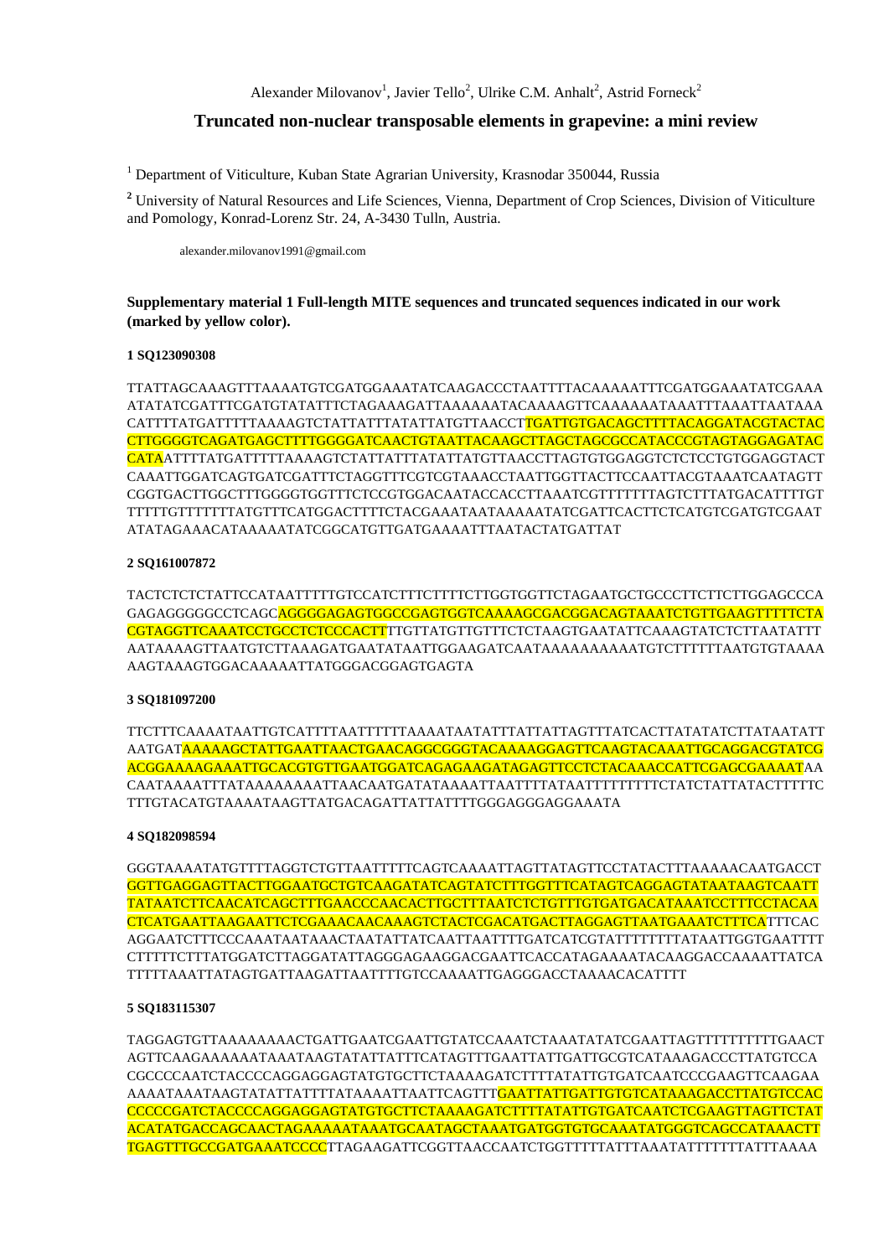## **Truncated non-nuclear transposable elements in grapevine: a mini review**

<sup>1</sup> Department of Viticulture, Kuban State Agrarian University, Krasnodar 350044, Russia

**<sup>2</sup>** University of Natural Resources and Life Sciences, Vienna, Department of Crop Sciences, Division of Viticulture and Pomology, Konrad-Lorenz Str. 24, A-3430 Tulln, Austria.

alexander.milovanov1991@gmail.com

**Supplementary material 1 Full-length MITE sequences and truncated sequences indicated in our work (marked by yellow color).**

#### **1 SQ123090308**

TTATTAGCAAAGTTTAAAATGTCGATGGAAATATCAAGACCCTAATTTTACAAAAATTTCGATGGAAATATCGAAA ATATATCGATTTCGATGTATATTTCTAGAAAGATTAAAAAATACAAAAGTTCAAAAAATAAATTTAAATTAATAAA CATTTTATGATTTTTAAAAGTCTATTATTTATATTATGTTAACCTTGATTGTGACAGCTTTTACAGGATACGTACTAC CTTGGGGTCAGATGAGCTTTTGGGGATCAACTGTAATTACAAGCTTAGCTAGCGCCATACCCGTAGTAGGAGATAC CATAATTTTATGATTTTTAAAAGTCTATTATTTATATTATGTTAACCTTAGTGTGGAGGTCTCTCCTGTGGAGGTACT CAAATTGGATCAGTGATCGATTTCTAGGTTTCGTCGTAAACCTAATTGGTTACTTCCAATTACGTAAATCAATAGTT CGGTGACTTGGCTTTGGGGTGGTTTCTCCGTGGACAATACCACCTTAAATCGTTTTTTTAGTCTTTATGACATTTTGT TTTTTGTTTTTTTATGTTTCATGGACTTTTCTACGAAATAATAAAAATATCGATTCACTTCTCATGTCGATGTCGAAT ATATAGAAACATAAAAATATCGGCATGTTGATGAAAATTTAATACTATGATTAT

## **2 SQ161007872**

TACTCTCTCTATTCCATAATTTTTGTCCATCTTTCTTTTCTTGGTGGTTCTAGAATGCTGCCCTTCTTCTTGGAGCCCA GAGAGGGGGCCTCAGCAGGGGAGAGTGGCCGAGTGGTCAAAAGCGACGGACAGTAAATCTGTTGAAGTTTTTCTA CGTAGGTTCAAATCCTGCCTCTCCCACTTTTGTTATGTTGTTTCTCTAAGTGAATATTCAAAGTATCTCTTAATATTT AATAAAAGTTAATGTCTTAAAGATGAATATAATTGGAAGATCAATAAAAAAAAAATGTCTTTTTTAATGTGTAAAA AAGTAAAGTGGACAAAAATTATGGGACGGAGTGAGTA

#### **3 SQ181097200**

TTCTTTCAAAATAATTGTCATTTTAATTTTTTAAAATAATATTTATTATTAGTTTATCACTTATATATCTTATAATATT AATGATAAAAAGCTATTGAATTAACTGAACAGGCGGGTACAAAAGGAGTTCAAGTACAAATTGCAGGACGTATCG ACGGAAAAGAAATTGCACGTGTTGAATGGATCAGAGAAGATAGAGTTCCTCTACAAACCATTCGAGCGAAAATAA CAATAAAATTTATAAAAAAAATTAACAATGATATAAAATTAATTTTATAATTTTTTTTTCTATCTATTATACTTTTTC TTTGTACATGTAAAATAAGTTATGACAGATTATTATTTTGGGAGGGAGGAAATA

#### **4 SQ182098594**

GGGTAAAATATGTTTTAGGTCTGTTAATTTTTCAGTCAAAATTAGTTATAGTTCCTATACTTTAAAAACAATGACCT GGTTGAGGAGTTACTTGGAATGCTGTCAAGATATCAGTATCTTTGGTTTCATAGTCAGGAGTATAATAAGTCAATT TATAATCTTCAACATCAGCTTTGAACCCAACACTTGCTTTAATCTCTGTTTGTGATGACATAAATCCTTTCCTACAA CTCATGAATTAAGAATTCTCGAAACAACAAAGTCTACTCGACATGACTTAGGAGTTAATGAAATCTTTCATTTCAC AGGAATCTTTCCCAAATAATAAACTAATATTATCAATTAATTTTGATCATCGTATTTTTTTTATAATTGGTGAATTTT CTTTTTCTTTATGGATCTTAGGATATTAGGGAGAAGGACGAATTCACCATAGAAAATACAAGGACCAAAATTATCA TTTTTAAATTATAGTGATTAAGATTAATTTTGTCCAAAATTGAGGGACCTAAAACACATTTT

## **5 SQ183115307**

TAGGAGTGTTAAAAAAAACTGATTGAATCGAATTGTATCCAAATCTAAATATATCGAATTAGTTTTTTTTTTGAACT AGTTCAAGAAAAAATAAATAAGTATATTATTTCATAGTTTGAATTATTGATTGCGTCATAAAGACCCTTATGTCCA CGCCCCAATCTACCCCAGGAGGAGTATGTGCTTCTAAAAGATCTTTTATATTGTGATCAATCCCGAAGTTCAAGAA AAAATAAATAAGTATATTATTTTATAAAATTAATTCAGTTTGAATTATTGATTGTGTCATAAAGACCTTATGTCCAC CCCCCGATCTACCCCAGGAGGAGTATGTGCTTCTAAAAGATCTTTTATATTGTGATCAATCTCGAAGTTAGTTCTAT ACATATGACCAGCAACTAGAAAAATAAATGCAATAGCTAAATGATGGTGTGCAAATATGGGTCAGCCATAAACTT TGAGTTTGCCGATGAAATCCCCTTAGAAGATTCGGTTAACCAATCTGGTTTTTATTTAAATATTTTTTTATTTAAAA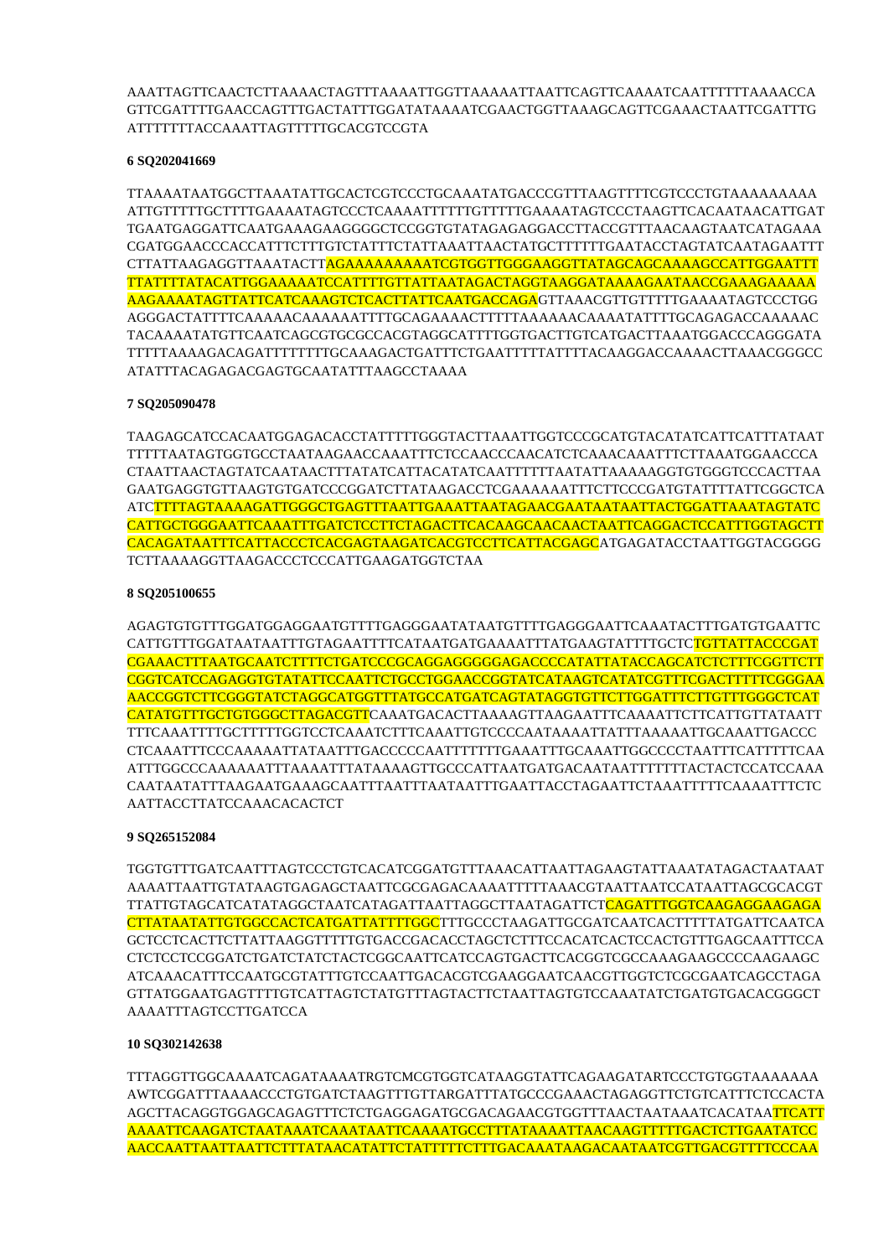AAATTAGTTCAACTCTTAAAACTAGTTTAAAATTGGTTAAAAATTAATTCAGTTCAAAATCAATTTTTTAAAACCA GTTCGATTTTGAACCAGTTTGACTATTTGGATATAAAATCGAACTGGTTAAAGCAGTTCGAAACTAATTCGATTTG ATTTTTTTACCAAATTAGTTTTTGCACGTCCGTA

## **6 SQ202041669**

TTAAAATAATGGCTTAAATATTGCACTCGTCCCTGCAAATATGACCCGTTTAAGTTTTCGTCCCTGTAAAAAAAAA ATTGTTTTTGCTTTTGAAAATAGTCCCTCAAAATTTTTTGTTTTTGAAAATAGTCCCTAAGTTCACAATAACATTGAT TGAATGAGGATTCAATGAAAGAAGGGGCTCCGGTGTATAGAGAGGACCTTACCGTTTAACAAGTAATCATAGAAA CGATGGAACCCACCATTTCTTTGTCTATTTCTATTAAATTAACTATGCTTTTTTGAATACCTAGTATCAATAGAATTT CTTATTAAGAGGTTAAATACTTAGAAAAAAAAATCGTGGTTGGGAAGGTTATAGCAGCAAAAGCCATTGGAATTT TTATTTTATACATTGGAAAAATCCATTTTGTTATTAATAGACTAGGTAAGGATAAAAGAATAACCGAAAGAAAAA AAGAAAATAGTTATTCATCAAAGTCTCACTTATTCAATGACCAGAGTTAAACGTTGTTTTTGAAAATAGTCCCTGG AGGGACTATTTTCAAAAACAAAAAATTTTGCAGAAAACTTTTTAAAAAACAAAATATTTTGCAGAGACCAAAAAC TACAAAATATGTTCAATCAGCGTGCGCCACGTAGGCATTTTGGTGACTTGTCATGACTTAAATGGACCCAGGGATA TTTTTAAAAGACAGATTTTTTTTGCAAAGACTGATTTCTGAATTTTTATTTTACAAGGACCAAAACTTAAACGGGCC ATATTTACAGAGACGAGTGCAATATTTAAGCCTAAAA

## **7 SQ205090478**

TAAGAGCATCCACAATGGAGACACCTATTTTTGGGTACTTAAATTGGTCCCGCATGTACATATCATTCATTTATAAT TTTTTAATAGTGGTGCCTAATAAGAACCAAATTTCTCCAACCCAACATCTCAAACAAATTTCTTAAATGGAACCCA CTAATTAACTAGTATCAATAACTTTATATCATTACATATCAATTTTTTAATATTAAAAAGGTGTGGGTCCCACTTAA GAATGAGGTGTTAAGTGTGATCCCGGATCTTATAAGACCTCGAAAAAATTTCTTCCCGATGTATTTTATTCGGCTCA ATCTTTTAGTAAAAGATTGGGCTGAGTTTAATTGAAATTAATAGAACGAATAATAATTACTGGATTAAATAGTATC CATTGCTGGGAATTCAAATTTGATCTCCTTCTAGACTTCACAAGCAACAACTAATTCAGGACTCCATTTGGTAGCTT CACAGATAATTTCATTACCCTCACGAGTAAGATCACGTCCTTCATTACGAGCATGAGATACCTAATTGGTACGGGG TCTTAAAAGGTTAAGACCCTCCCATTGAAGATGGTCTAA

## **8 SQ205100655**

AGAGTGTGTTTGGATGGAGGAATGTTTTGAGGGAATATAATGTTTTGAGGGAATTCAAATACTTTGATGTGAATTC CATTGTTTGGATAATAATTTGTAGAATTTTCATAATGATGAAAATTTATGAAGTATTTTGCTCTGTTATTACCCGAT CGAAACTTTAATGCAATCTTTTCTGATCCCGCAGGAGGGGGAGACCCCATATTATACCAGCATCTCTTTCGGTTCTT CGGTCATCCAGAGGTGTATATTCCAATTCTGCCTGGAACCGGTATCATAAGTCATATCGTTTCGACTTTTTCGGGAA AACCGGTCTTCGGGTATCTAGGCATGGTTTATGCCATGATCAGTATAGGTGTTCTTGGATTTCTTGTTTGGGCTCAT CATATGTTTGCTGTGGGCTTAGACGTTCAAATGACACTTAAAAGTTAAGAATTTCAAAATTCTTCATTGTTATAATT TTTCAAATTTTGCTTTTTGGTCCTCAAATCTTTCAAATTGTCCCCAATAAAATTATTTAAAAATTGCAAATTGACCC CTCAAATTTCCCAAAAATTATAATTTGACCCCCAATTTTTTTGAAATTTGCAAATTGGCCCCTAATTTCATTTTTCAA ATTTGGCCCAAAAAATTTAAAATTTATAAAAGTTGCCCATTAATGATGACAATAATTTTTTTACTACTCCATCCAAA CAATAATATTTAAGAATGAAAGCAATTTAATTTAATAATTTGAATTACCTAGAATTCTAAATTTTTCAAAATTTCTC AATTACCTTATCCAAACACACTCT

## **9 SQ265152084**

TGGTGTTTGATCAATTTAGTCCCTGTCACATCGGATGTTTAAACATTAATTAGAAGTATTAAATATAGACTAATAAT AAAATTAATTGTATAAGTGAGAGCTAATTCGCGAGACAAAATTTTTAAACGTAATTAATCCATAATTAGCGCACGT TTATTGTAGCATCATATAGGCTAATCATAGATTAATTAGGCTTAATAGATTCTCAGATTTGGTCAAGAGGAAGAGA CTTATAATATTGTGGCCACTCATGATTATTTTGGCTTTGCCCTAAGATTGCGATCAATCACTTTTTATGATTCAATCA GCTCCTCACTTCTTATTAAGGTTTTTGTGACCGACACCTAGCTCTTTCCACATCACTCCACTGTTTGAGCAATTTCCA CTCTCCTCCGGATCTGATCTATCTACTCGGCAATTCATCCAGTGACTTCACGGTCGCCAAAGAAGCCCCAAGAAGC ATCAAACATTTCCAATGCGTATTTGTCCAATTGACACGTCGAAGGAATCAACGTTGGTCTCGCGAATCAGCCTAGA GTTATGGAATGAGTTTTGTCATTAGTCTATGTTTAGTACTTCTAATTAGTGTCCAAATATCTGATGTGACACGGGCT AAAATTTAGTCCTTGATCCA

## **10 SQ302142638**

TTTAGGTTGGCAAAATCAGATAAAATRGTCMCGTGGTCATAAGGTATTCAGAAGATARTCCCTGTGGTAAAAAAA AWTCGGATTTAAAACCCTGTGATCTAAGTTTGTTARGATTTATGCCCGAAACTAGAGGTTCTGTCATTTCTCCACTA AGCTTACAGGTGGAGCAGAGTTTCTCTGAGGAGATGCGACAGAACGTGGTTTAACTAATAAATCACATAATTCATT AAAATTCAAGATCTAATAAATCAAATAATTCAAAATGCCTTTATAAAATTAACAAGTTTTTGACTCTTGAATATCC AACCAATTAATTAATTCTTTATAACATATTCTATTTTTCTTTGACAAATAAGACAATAATCGTTGACGTTTTCCCAA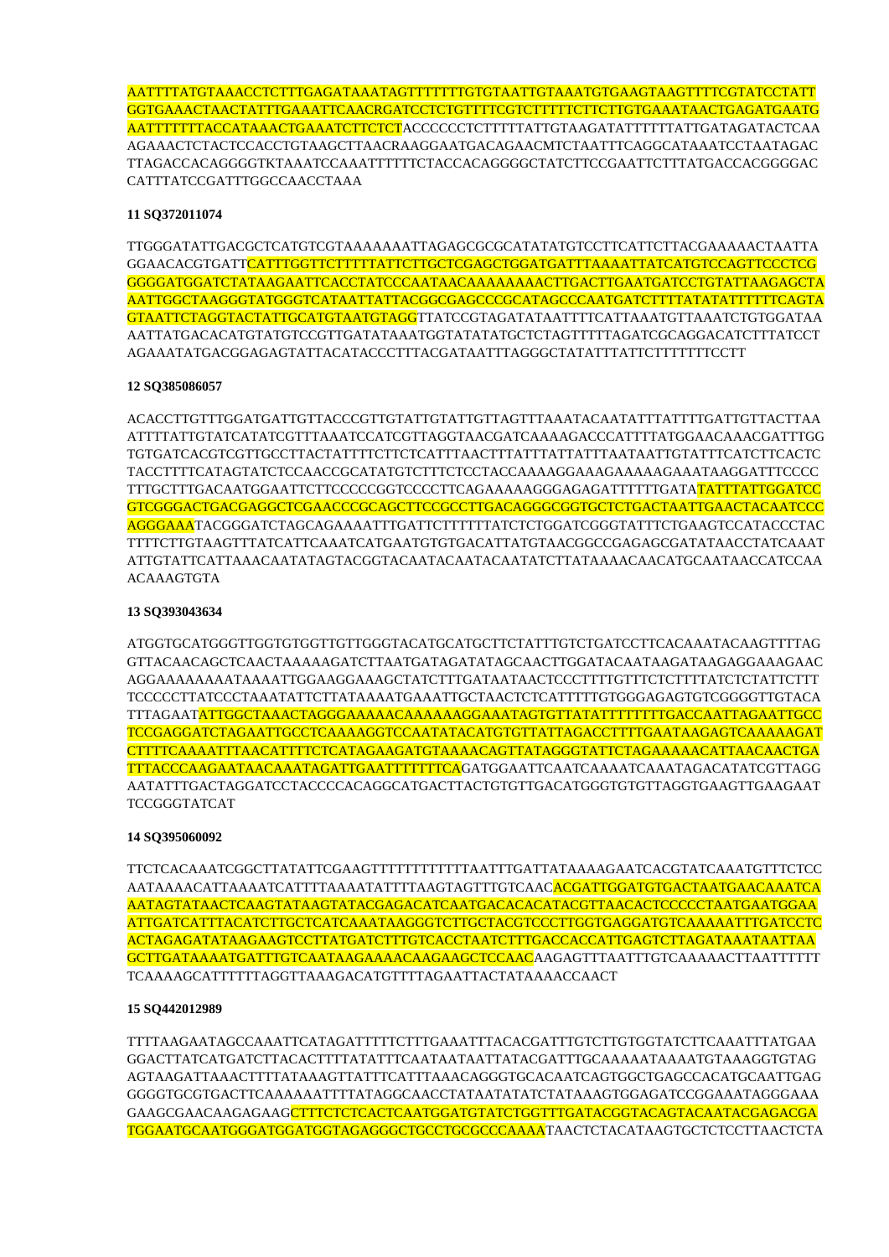AATTTTATGTAAACCTCTTTGAGATAAATAGTTTTTTTGTGTAATTGTAAATGTGAAGTAAGTTTTCGTATCCTATT GGTGAAACTAACTATTTGAAATTCAACRGATCCTCTGTTTTCGTCTTTTTCTTCTTGTGAAATAACTGAGATGAATG AATTTTTTTACCATAAACTGAAATCTTCTCTACCCCCCTCTTTTTATTGTAAGATATTTTTTATTGATAGATACTCAA AGAAACTCTACTCCACCTGTAAGCTTAACRAAGGAATGACAGAACMTCTAATTTCAGGCATAAATCCTAATAGAC TTAGACCACAGGGGTKTAAATCCAAATTTTTTCTACCACAGGGGCTATCTTCCGAATTCTTTATGACCACGGGGAC CATTTATCCGATTTGGCCAACCTAAA

### **11 SQ372011074**

TTGGGATATTGACGCTCATGTCGTAAAAAAATTAGAGCGCGCATATATGTCCTTCATTCTTACGAAAAACTAATTA GGAACACGTGATTCATTTGGTTCTTTTTATTCTTGCTCGAGCTGGATGATTTAAAATTATCATGTCCAGTTCCCTCG GGGGATGGATCTATAAGAATTCACCTATCCCAATAACAAAAAAAACTTGACTTGAATGATCCTGTATTAAGAGCTA AATTGGCTAAGGGTATGGGTCATAATTATTACGGCGAGCCCGCATAGCCCAATGATCTTTTATATATTTTTTCAGTA GTAATTCTAGGTACTATTGCATGTAATGTAGGTTATCCGTAGATATAATTTTCATTAAATGTTAAATCTGTGGATAA AATTATGACACATGTATGTCCGTTGATATAAATGGTATATATGCTCTAGTTTTTAGATCGCAGGACATCTTTATCCT AGAAATATGACGGAGAGTATTACATACCCTTTACGATAATTTAGGGCTATATTTATTCTTTTTTTCCTT

#### **12 SQ385086057**

ACACCTTGTTTGGATGATTGTTACCCGTTGTATTGTATTGTTAGTTTAAATACAATATTTATTTTGATTGTTACTTAA ATTTTATTGTATCATATCGTTTAAATCCATCGTTAGGTAACGATCAAAAGACCCATTTTATGGAACAAACGATTTGG TGTGATCACGTCGTTGCCTTACTATTTTCTTCTCATTTAACTTTATTTATTATTTAATAATTGTATTTCATCTTCACTC TACCTTTTCATAGTATCTCCAACCGCATATGTCTTTCTCCTACCAAAAGGAAAGAAAAAGAAATAAGGATTTCCCC TTTGCTTTGACAATGGAATTCTTCCCCCGGTCCCCTTCAGAAAAAGGGAGAGATTTTTTGATATATTTATTGGATCC GTCGGGACTGACGAGGCTCGAACCCGCAGCTTCCGCCTTGACAGGGCGGTGCTCTGACTAATTGAACTACAATCCC AGGGAAATACGGGATCTAGCAGAAAATTTGATTCTTTTTTATCTCTGGATCGGGTATTTCTGAAGTCCATACCCTAC TTTTCTTGTAAGTTTATCATTCAAATCATGAATGTGTGACATTATGTAACGGCCGAGAGCGATATAACCTATCAAAT ATTGTATTCATTAAACAATATAGTACGGTACAATACAATACAATATCTTATAAAACAACATGCAATAACCATCCAA ACAAAGTGTA

#### **13 SQ393043634**

ATGGTGCATGGGTTGGTGTGGTTGTTGGGTACATGCATGCTTCTATTTGTCTGATCCTTCACAAATACAAGTTTTAG GTTACAACAGCTCAACTAAAAAGATCTTAATGATAGATATAGCAACTTGGATACAATAAGATAAGAGGAAAGAAC AGGAAAAAAAATAAAATTGGAAGGAAAGCTATCTTTGATAATAACTCCCTTTTGTTTCTCTTTTATCTCTATTCTTT TCCCCCTTATCCCTAAATATTCTTATAAAATGAAATTGCTAACTCTCATTTTTGTGGGAGAGTGTCGGGGTTGTACA TTTAGAATATTGGCTAAACTAGGGAAAAACAAAAAAGGAAATAGTGTTATATTTTTTTTGACCAATTAGAATTGCC TCCGAGGATCTAGAATTGCCTCAAAAGGTCCAATATACATGTGTTATTAGACCTTTTGAATAAGAGTCAAAAAGAT CTTTTCAAAATTTAACATTTTCTCATAGAAGATGTAAAACAGTTATAGGGTATTCTAGAAAAACATTAACAACTGA TTTACCCAAGAATAACAAATAGATTGAATTTTTTTCAGATGGAATTCAATCAAAATCAAATAGACATATCGTTAGG AATATTTGACTAGGATCCTACCCCACAGGCATGACTTACTGTGTTGACATGGGTGTGTTAGGTGAAGTTGAAGAAT TCCGGGTATCAT

#### **14 SQ395060092**

TTCTCACAAATCGGCTTATATTCGAAGTTTTTTTTTTTTAATTTGATTATAAAAGAATCACGTATCAAATGTTTCTCC AATAAAACATTAAAATCATTTTAAAATATTTTAAGTAGTTTGTCAACACGATTGGATGTGACTAATGAACAAATCA AATAGTATAACTCAAGTATAAGTATACGAGACATCAATGACACACATACGTTAACACTCCCCCTAATGAATGGAA ATTGATCATTTACATCTTGCTCATCAAATAAGGGTCTTGCTACGTCCCTTGGTGAGGATGTCAAAAATTTGATCCTC ACTAGAGATATAAGAAGTCCTTATGATCTTTGTCACCTAATCTTTGACCACCATTGAGTCTTAGATAAATAATTAA GCTTGATAAAATGATTTGTCAATAAGAAAACAAGAAGCTCCAACAAGAGTTTAATTTGTCAAAAACTTAATTTTTT TCAAAAGCATTTTTTAGGTTAAAGACATGTTTTAGAATTACTATAAAACCAACT

#### **15 SQ442012989**

TTTTAAGAATAGCCAAATTCATAGATTTTTCTTTGAAATTTACACGATTTGTCTTGTGGTATCTTCAAATTTATGAA GGACTTATCATGATCTTACACTTTTATATTTCAATAATAATTATACGATTTGCAAAAATAAAATGTAAAGGTGTAG AGTAAGATTAAACTTTTATAAAGTTATTTCATTTAAACAGGGTGCACAATCAGTGGCTGAGCCACATGCAATTGAG GGGGTGCGTGACTTCAAAAAATTTTATAGGCAACCTATAATATATCTATAAAGTGGAGATCCGGAAATAGGGAAA GAAGCGAACAAGAGAAGCTTTCTCTCACTCAATGGATGTATCTGGTTTGATACGGTACAGTACAATACGAGACGA TGGAATGCAATGGGATGGATGGTAGAGGGCTGCCTGCGCCCAAAATAACTCTACATAAGTGCTCTCCTTAACTCTA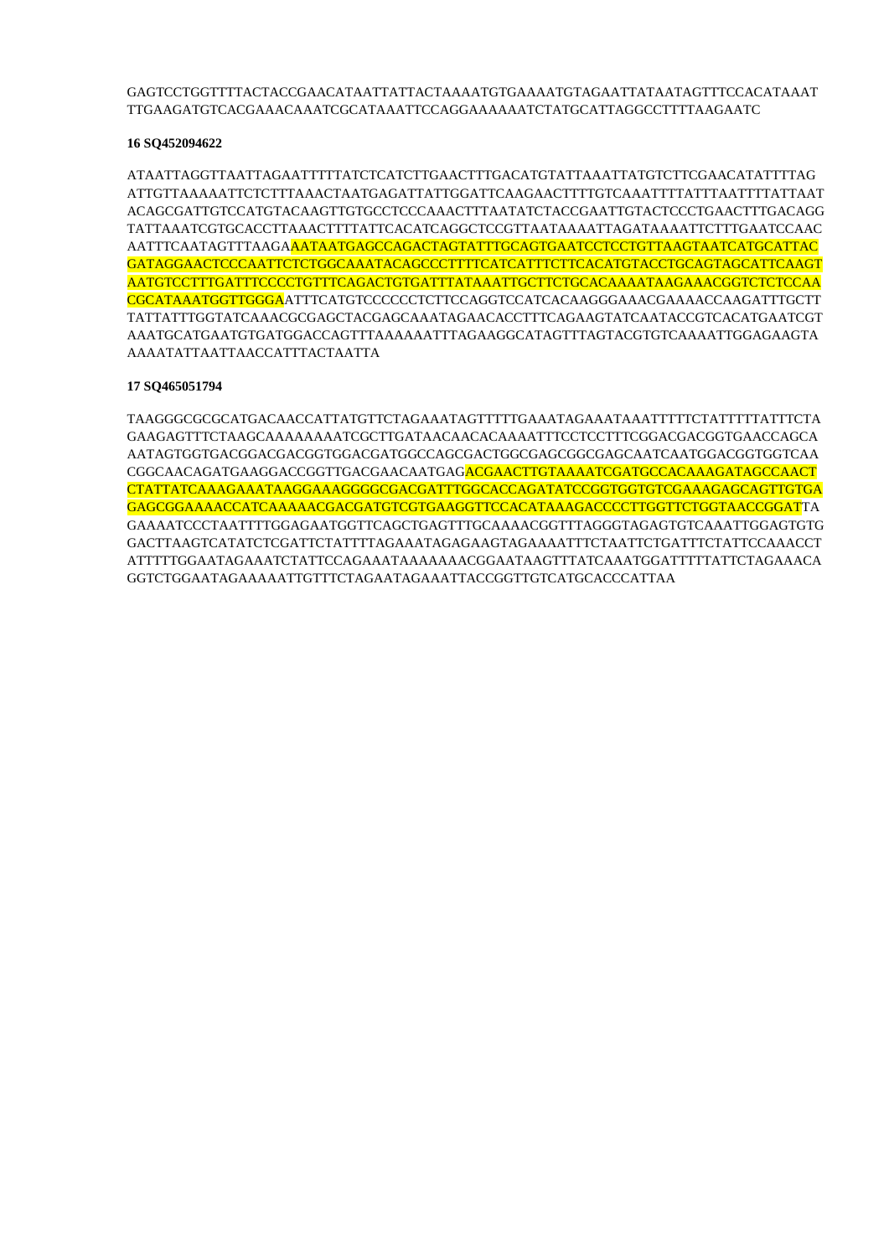## GAGTCCTGGTTTTACTACCGAACATAATTATTACTAAAATGTGAAAATGTAGAATTATAATAGTTTCCACATAAAT TTGAAGATGTCACGAAACAAATCGCATAAATTCCAGGAAAAAATCTATGCATTAGGCCTTTTAAGAATC

## **16 SQ452094622**

ATAATTAGGTTAATTAGAATTTTTATCTCATCTTGAACTTTGACATGTATTAAATTATGTCTTCGAACATATTTTAG ATTGTTAAAAATTCTCTTTAAACTAATGAGATTATTGGATTCAAGAACTTTTGTCAAATTTTATTTAATTTTATTAAT ACAGCGATTGTCCATGTACAAGTTGTGCCTCCCAAACTTTAATATCTACCGAATTGTACTCCCTGAACTTTGACAGG TATTAAATCGTGCACCTTAAACTTTTATTCACATCAGGCTCCGTTAATAAAATTAGATAAAATTCTTTGAATCCAAC AATTTCAATAGTTTAAGAAATAATGAGCCAGACTAGTATTTGCAGTGAATCCTCCTGTTAAGTAATCATGCATTAC GATAGGAACTCCCAATTCTCTGGCAAATACAGCCCTTTTCATCATTTCTTCACATGTACCTGCAGTAGCATTCAAGT AATGTCCTTTGATTTCCCCTGTTTCAGACTGTGATTTATAAATTGCTTCTGCACAAAATAAGAAACGGTCTCTCCAA CGCATAAATGGTTGGGAATTTCATGTCCCCCCTCTTCCAGGTCCATCACAAGGGAAACGAAAACCAAGATTTGCTT TATTATTTGGTATCAAACGCGAGCTACGAGCAAATAGAACACCTTTCAGAAGTATCAATACCGTCACATGAATCGT AAATGCATGAATGTGATGGACCAGTTTAAAAAATTTAGAAGGCATAGTTTAGTACGTGTCAAAATTGGAGAAGTA AAAATATTAATTAACCATTTACTAATTA

## **17 SQ465051794**

TAAGGGCGCGCATGACAACCATTATGTTCTAGAAATAGTTTTTGAAATAGAAATAAATTTTTCTATTTTTATTTCTA GAAGAGTTTCTAAGCAAAAAAAATCGCTTGATAACAACACAAAATTTCCTCCTTTCGGACGACGGTGAACCAGCA AATAGTGGTGACGGACGACGGTGGACGATGGCCAGCGACTGGCGAGCGGCGAGCAATCAATGGACGGTGGTCAA CGGCAACAGATGAAGGACCGGTTGACGAACAATGAGACGAACTTGTAAAATCGATGCCACAAAGATAGCCAACT CTATTATCAAAGAAATAAGGAAAGGGGCGACGATTTGGCACCAGATATCCGGTGGTGTCGAAAGAGCAGTTGTGA GAGCGGAAAACCATCAAAAACGACGATGTCGTGAAGGTTCCACATAAAGACCCCTTGGTTCTGGTAACCGGATTA GAAAATCCCTAATTTTGGAGAATGGTTCAGCTGAGTTTGCAAAACGGTTTAGGGTAGAGTGTCAAATTGGAGTGTG GACTTAAGTCATATCTCGATTCTATTTTAGAAATAGAGAAGTAGAAAATTTCTAATTCTGATTTCTATTCCAAACCT ATTTTTGGAATAGAAATCTATTCCAGAAATAAAAAAACGGAATAAGTTTATCAAATGGATTTTTATTCTAGAAACA GGTCTGGAATAGAAAAATTGTTTCTAGAATAGAAATTACCGGTTGTCATGCACCCATTAA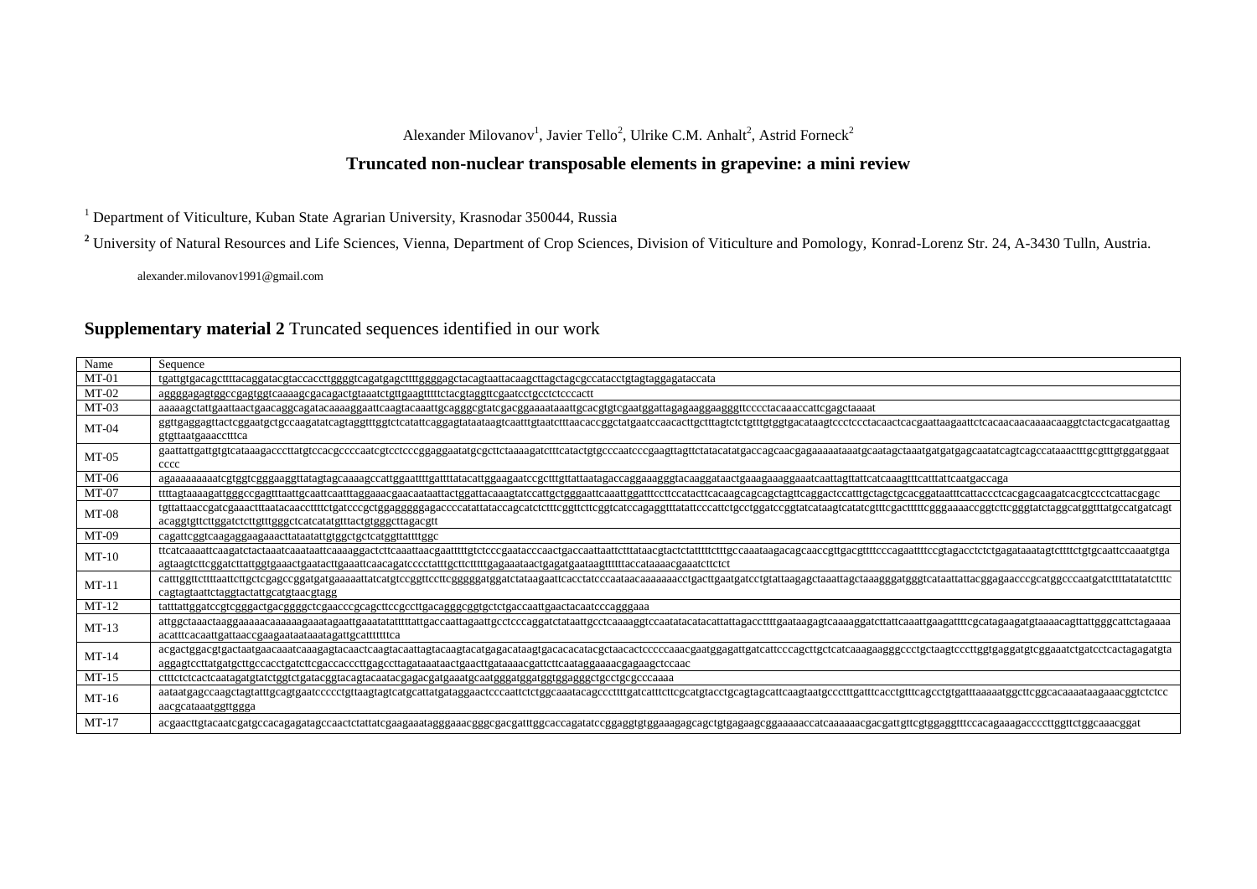## Alexander Milovanov<sup>1</sup>, Javier Tello<sup>2</sup>, Ulrike C.M. Anhalt<sup>2</sup>, Astrid Forneck<sup>2</sup>

# **Truncated non-nuclear transposable elements in grapevine: a mini review**

<sup>1</sup> Department of Viticulture, Kuban State Agrarian University, Krasnodar 350044, Russia

<sup>2</sup> University of Natural Resources and Life Sciences, Vienna, Department of Crop Sciences, Division of Viticulture and Pomology, Konrad-Lorenz Str. 24, A-3430 Tulln, Austria.

alexander.milovanov1991@gmail.com

## **Supplementary material 2** Truncated sequences identified in our work

| Name    | Sequence                                                                                                                                                                                                                                                                              |  |  |  |
|---------|---------------------------------------------------------------------------------------------------------------------------------------------------------------------------------------------------------------------------------------------------------------------------------------|--|--|--|
| $MT-01$ | tgattgtgacagettttacaggatacgtaccacettggggtcagatgagettttggggagetacagtaattacaagettagetagegecatacetgtagtaggagataccata                                                                                                                                                                     |  |  |  |
| $MT-02$ | aggggagagtggccgagtggtcaaaagcgacagactgtaaatctgttgaagtttttctacgtaggttcgaatcctgcctctcccactt                                                                                                                                                                                              |  |  |  |
| $MT-03$ |                                                                                                                                                                                                                                                                                       |  |  |  |
| $MT-04$ | ggttgaggagttactcggaatgctgccaagatatcagtaggtttggtctcatattcaggagtataataagtcaatttgtaatctttaacaccggctatgaatccaacacttgctttagtctctgtttgtggtgacataagtccctcctacaactcacgaattaagaattctcacaacaacaacaaggtctactcgacatgaattag<br>gtgttaatgaaacctttca                                                 |  |  |  |
| $MT-05$ | cccc                                                                                                                                                                                                                                                                                  |  |  |  |
| MT-06   | agaaaaaaaaatcgtggtcgggaaggttatagtagcaaaagccattggaattttgattttatacattggaagaatccgctttgttattaatagaccaggaaagggtacaaggataactgaaaggaaatcaattagttattcatcaaagtttcatttattcaatgaccaga                                                                                                            |  |  |  |
| $MT-07$ |                                                                                                                                                                                                                                                                                       |  |  |  |
| $MT-08$ | tgttattaaccgatcgaaactttaatacaaccttttctgatcccgctggagggggagaccccatattataccagcatctctttcggttcttcggtcatccagaggtttatattcccattctgcctggatccggtatcataagtcatatcgtttcgactttttcgggaaaaccggtcttcgggtatctaggcatggtttatgccatgatcagt<br>acaggigettettggatetettgtttgggeteateatatgtttaetgtgggettagaegtt |  |  |  |
| MT-09   | cagattcggtcaagaggaagaaacttataatattgtggctgctcatggttattttggc                                                                                                                                                                                                                            |  |  |  |
| $MT-10$ | agtaagtetteggatettattggtgaaactgaataettgaaatteaacagateeeetatttgettetttttgagaaataaetgagatgaataagttttttaeeataaaaegaaatettetet                                                                                                                                                            |  |  |  |
| $MT-11$ | cagtagtaattctaggtactattgcatgtaacgtagg                                                                                                                                                                                                                                                 |  |  |  |
| $MT-12$ | tatttattggatccgtcgggactgacggggctcgaacccgcagcttccgccttgacagggcggtgctctgaccaattgaactacaatcccagggaaa                                                                                                                                                                                     |  |  |  |
| $MT-13$ | acatttcacaattgattaaccgaagaataataaatagattgcatttttttca                                                                                                                                                                                                                                  |  |  |  |
| $MT-14$ | acgactgacgtgactaatgaacaaatcaaggatacaactcaagtacaattagtacaagtacatgagacataagtgacacacatacgctaacactcccccaaacgaatggagattgatcattcccagcttgctcatcaaagaagggccctgctaagtcccttggtgaggatgtcggaaatctgatcctcactagagatgta                                                                              |  |  |  |
| $MT-15$ |                                                                                                                                                                                                                                                                                       |  |  |  |
| $MT-16$ | aataatgagccaagctagtatttgcagtgaatccccctgttaagtagtcatgcattatgataggaactcccaattctctggcaaatacagcccttttgatcatttcttcgcatgtacctgcagtagcattcaagtaatgccctttgatttcacctgtttcagcctgtgatttaaaaatggcttcggcacaaaataagaaacggtctctcc<br>aacgcataaatggttggga                                             |  |  |  |
| $MT-17$ | acgaacttgtacaatcgatgccaacgagatagccaactctattatcgaagaaatagggaaacgggcgacgatttggcaccagatatccggaggtgtggaaagagcagctgtgagaagcggaaaaaccatcaaaaaacgacgattgttcgtggaggtttccacagaaagaccccttggttctggcaaacggat                                                                                      |  |  |  |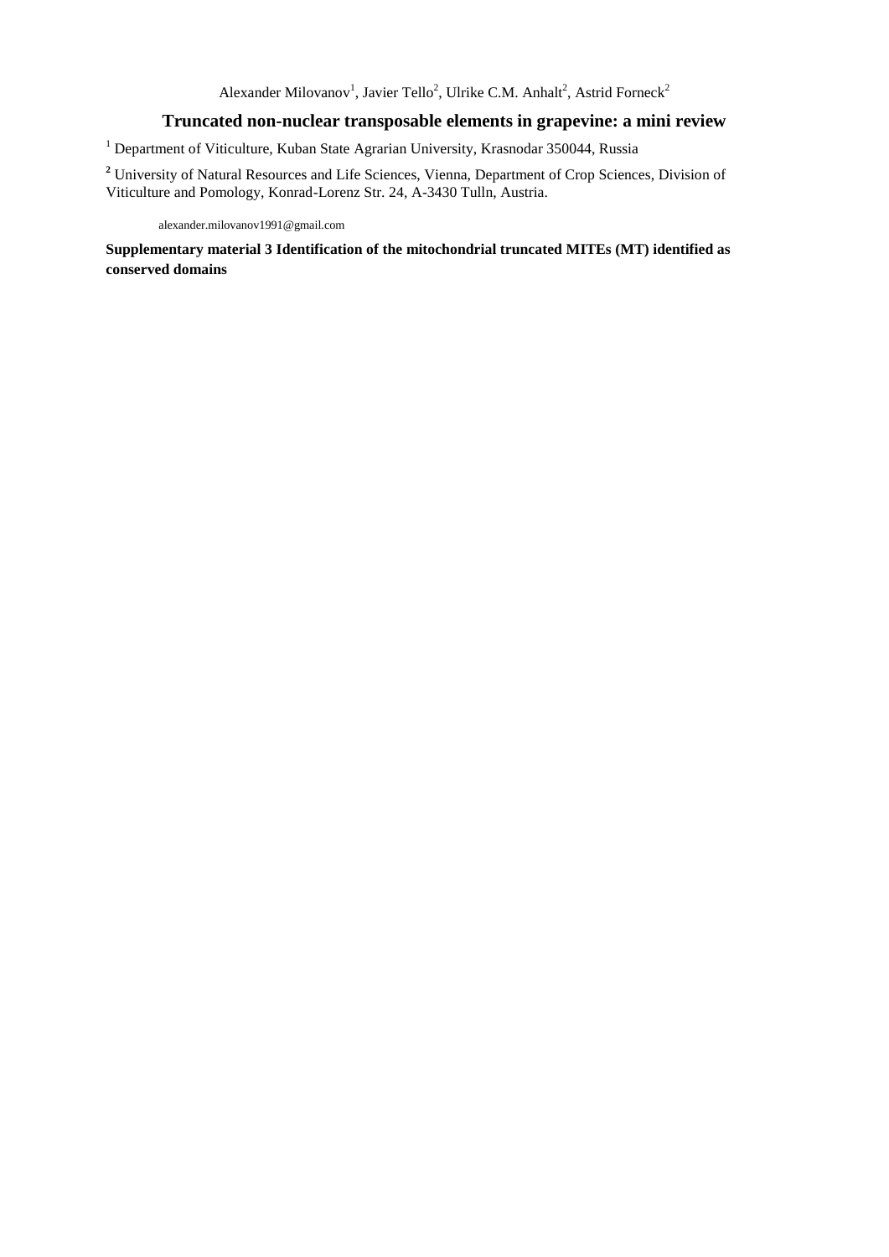## **Truncated non-nuclear transposable elements in grapevine: a mini review**

<sup>1</sup> Department of Viticulture, Kuban State Agrarian University, Krasnodar 350044, Russia

**<sup>2</sup>** University of Natural Resources and Life Sciences, Vienna, Department of Crop Sciences, Division of Viticulture and Pomology, Konrad-Lorenz Str. 24, A-3430 Tulln, Austria.

alexander.milovanov1991@gmail.com

**Supplementary material 3 Identification of the mitochondrial truncated MITEs (MT) identified as conserved domains**